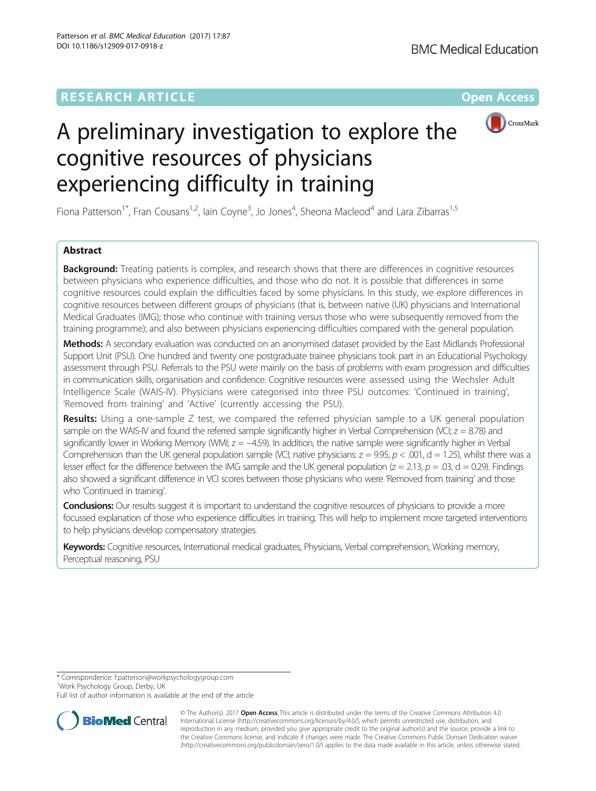

# A preliminary investigation to explore the cognitive resources of physicians experiencing difficulty in training

Fiona Patterson<sup>1\*</sup>, Fran Cousans<sup>1,2</sup>, Iain Coyne<sup>3</sup>, Jo Jones<sup>4</sup>, Sheona Macleod<sup>4</sup> and Lara Zibarras<sup>1,5</sup>

## Abstract

**Background:** Treating patients is complex, and research shows that there are differences in cognitive resources between physicians who experience difficulties, and those who do not. It is possible that differences in some cognitive resources could explain the difficulties faced by some physicians. In this study, we explore differences in cognitive resources between different groups of physicians (that is, between native (UK) physicians and International Medical Graduates (IMG); those who continue with training versus those who were subsequently removed from the training programme); and also between physicians experiencing difficulties compared with the general population.

Methods: A secondary evaluation was conducted on an anonymised dataset provided by the East Midlands Professional Support Unit (PSU). One hundred and twenty one postgraduate trainee physicians took part in an Educational Psychology assessment through PSU. Referrals to the PSU were mainly on the basis of problems with exam progression and difficulties in communication skills, organisation and confidence. Cognitive resources were assessed using the Wechsler Adult Intelligence Scale (WAIS-IV). Physicians were categorised into three PSU outcomes: 'Continued in training', 'Removed from training' and 'Active' (currently accessing the PSU).

**Results:** Using a one-sample Z test, we compared the referred physician sample to a UK general population sample on the WAIS-IV and found the referred sample significantly higher in Verbal Comprehension (VCI;  $z = 8.78$ ) and significantly lower in Working Memory (WMI;  $z = -4.59$ ). In addition, the native sample were significantly higher in Verbal Comprehension than the UK general population sample (VCI; native physicians:  $z = 9.95$ ,  $p < .001$ ,  $d = 1.25$ ), whilst there was a lesser effect for the difference between the IMG sample and the UK general population  $(z = 2.13, p = .03, d = 0.29)$ . Findings also showed a significant difference in VCI scores between those physicians who were 'Removed from training' and those who 'Continued in training'.

**Conclusions:** Our results suggest it is important to understand the cognitive resources of physicians to provide a more focussed explanation of those who experience difficulties in training. This will help to implement more targeted interventions to help physicians develop compensatory strategies.

Keywords: Cognitive resources, International medical graduates, Physicians, Verbal comprehension, Working memory, Perceptual reasoning, PSU

\* Correspondence: [f.patterson@workpsychologygroup.com](mailto:f.patterson@workpsychologygroup.com) <sup>1</sup>

<sup>1</sup>Work Psychology Group, Derby, UK

Full list of author information is available at the end of the article



© The Author(s). 2017 **Open Access** This article is distributed under the terms of the Creative Commons Attribution 4.0 International License [\(http://creativecommons.org/licenses/by/4.0/](http://creativecommons.org/licenses/by/4.0/)), which permits unrestricted use, distribution, and reproduction in any medium, provided you give appropriate credit to the original author(s) and the source, provide a link to the Creative Commons license, and indicate if changes were made. The Creative Commons Public Domain Dedication waiver [\(http://creativecommons.org/publicdomain/zero/1.0/](http://creativecommons.org/publicdomain/zero/1.0/)) applies to the data made available in this article, unless otherwise stated.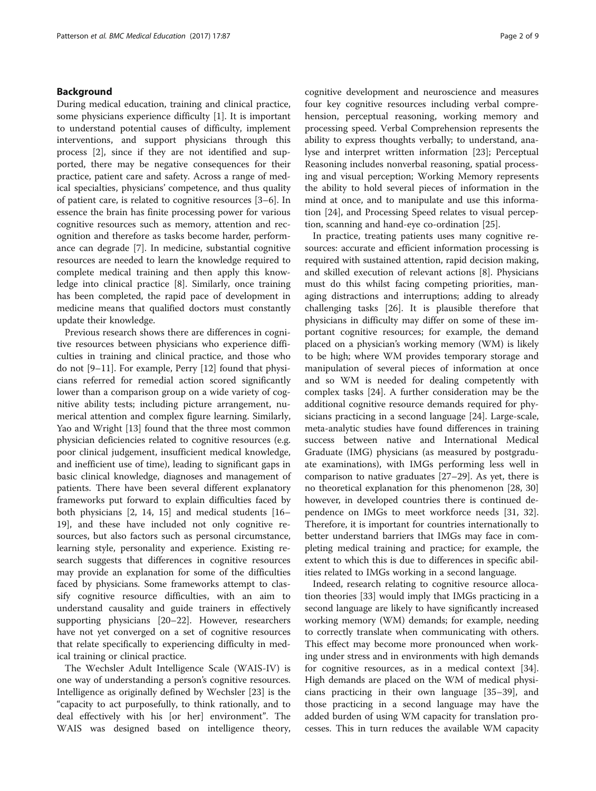## Background

During medical education, training and clinical practice, some physicians experience difficulty [\[1](#page-7-0)]. It is important to understand potential causes of difficulty, implement interventions, and support physicians through this process [[2\]](#page-7-0), since if they are not identified and supported, there may be negative consequences for their practice, patient care and safety. Across a range of medical specialties, physicians' competence, and thus quality of patient care, is related to cognitive resources [[3](#page-7-0)–[6](#page-7-0)]. In essence the brain has finite processing power for various cognitive resources such as memory, attention and recognition and therefore as tasks become harder, performance can degrade [\[7](#page-7-0)]. In medicine, substantial cognitive resources are needed to learn the knowledge required to complete medical training and then apply this knowledge into clinical practice [\[8\]](#page-7-0). Similarly, once training has been completed, the rapid pace of development in medicine means that qualified doctors must constantly update their knowledge.

Previous research shows there are differences in cognitive resources between physicians who experience difficulties in training and clinical practice, and those who do not [\[9](#page-7-0)–[11\]](#page-7-0). For example, Perry [\[12](#page-7-0)] found that physicians referred for remedial action scored significantly lower than a comparison group on a wide variety of cognitive ability tests; including picture arrangement, numerical attention and complex figure learning. Similarly, Yao and Wright [\[13](#page-7-0)] found that the three most common physician deficiencies related to cognitive resources (e.g. poor clinical judgement, insufficient medical knowledge, and inefficient use of time), leading to significant gaps in basic clinical knowledge, diagnoses and management of patients. There have been several different explanatory frameworks put forward to explain difficulties faced by both physicians [[2, 14, 15](#page-7-0)] and medical students [[16](#page-7-0)– [19\]](#page-7-0), and these have included not only cognitive resources, but also factors such as personal circumstance, learning style, personality and experience. Existing research suggests that differences in cognitive resources may provide an explanation for some of the difficulties faced by physicians. Some frameworks attempt to classify cognitive resource difficulties, with an aim to understand causality and guide trainers in effectively supporting physicians [[20](#page-7-0)–[22](#page-8-0)]. However, researchers have not yet converged on a set of cognitive resources that relate specifically to experiencing difficulty in medical training or clinical practice.

The Wechsler Adult Intelligence Scale (WAIS-IV) is one way of understanding a person's cognitive resources. Intelligence as originally defined by Wechsler [[23](#page-8-0)] is the "capacity to act purposefully, to think rationally, and to deal effectively with his [or her] environment". The WAIS was designed based on intelligence theory, cognitive development and neuroscience and measures four key cognitive resources including verbal comprehension, perceptual reasoning, working memory and processing speed. Verbal Comprehension represents the ability to express thoughts verbally; to understand, analyse and interpret written information [[23](#page-8-0)]; Perceptual Reasoning includes nonverbal reasoning, spatial processing and visual perception; Working Memory represents the ability to hold several pieces of information in the mind at once, and to manipulate and use this information [[24](#page-8-0)], and Processing Speed relates to visual perception, scanning and hand-eye co-ordination [\[25\]](#page-8-0).

In practice, treating patients uses many cognitive resources: accurate and efficient information processing is required with sustained attention, rapid decision making, and skilled execution of relevant actions [\[8](#page-7-0)]. Physicians must do this whilst facing competing priorities, managing distractions and interruptions; adding to already challenging tasks [\[26\]](#page-8-0). It is plausible therefore that physicians in difficulty may differ on some of these important cognitive resources; for example, the demand placed on a physician's working memory (WM) is likely to be high; where WM provides temporary storage and manipulation of several pieces of information at once and so WM is needed for dealing competently with complex tasks [\[24](#page-8-0)]. A further consideration may be the additional cognitive resource demands required for physicians practicing in a second language [[24\]](#page-8-0). Large-scale, meta-analytic studies have found differences in training success between native and International Medical Graduate (IMG) physicians (as measured by postgraduate examinations), with IMGs performing less well in comparison to native graduates [\[27](#page-8-0)–[29\]](#page-8-0). As yet, there is no theoretical explanation for this phenomenon [\[28, 30](#page-8-0)] however, in developed countries there is continued dependence on IMGs to meet workforce needs [[31, 32](#page-8-0)]. Therefore, it is important for countries internationally to better understand barriers that IMGs may face in completing medical training and practice; for example, the extent to which this is due to differences in specific abilities related to IMGs working in a second language.

Indeed, research relating to cognitive resource allocation theories [[33\]](#page-8-0) would imply that IMGs practicing in a second language are likely to have significantly increased working memory (WM) demands; for example, needing to correctly translate when communicating with others. This effect may become more pronounced when working under stress and in environments with high demands for cognitive resources, as in a medical context [\[34](#page-8-0)]. High demands are placed on the WM of medical physicians practicing in their own language [\[35](#page-8-0)–[39](#page-8-0)], and those practicing in a second language may have the added burden of using WM capacity for translation processes. This in turn reduces the available WM capacity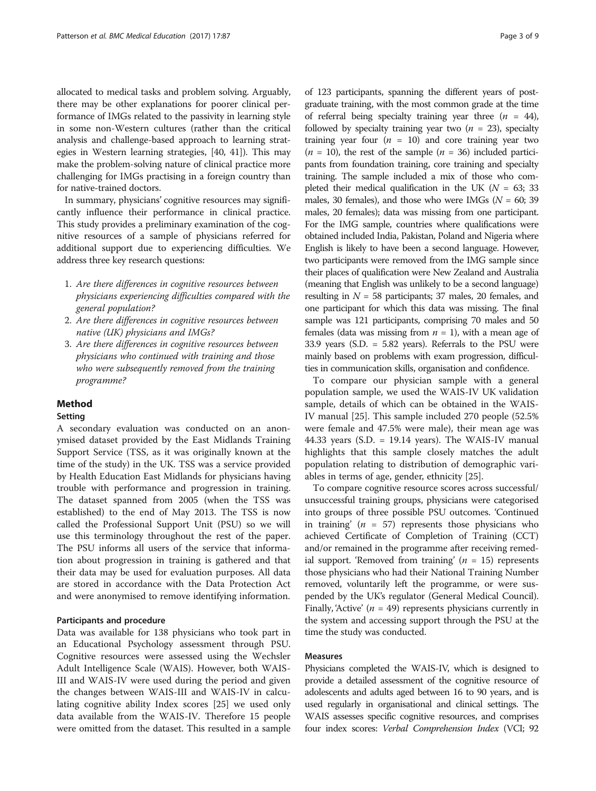allocated to medical tasks and problem solving. Arguably, there may be other explanations for poorer clinical performance of IMGs related to the passivity in learning style in some non-Western cultures (rather than the critical analysis and challenge-based approach to learning strategies in Western learning strategies, [[40](#page-8-0), [41](#page-8-0)]). This may make the problem-solving nature of clinical practice more challenging for IMGs practising in a foreign country than for native-trained doctors.

In summary, physicians' cognitive resources may significantly influence their performance in clinical practice. This study provides a preliminary examination of the cognitive resources of a sample of physicians referred for additional support due to experiencing difficulties. We address three key research questions:

- 1. Are there differences in cognitive resources between physicians experiencing difficulties compared with the general population?
- 2. Are there differences in cognitive resources between native (UK) physicians and IMGs?
- 3. Are there differences in cognitive resources between physicians who continued with training and those who were subsequently removed from the training programme?

## Method

## Setting

A secondary evaluation was conducted on an anonymised dataset provided by the East Midlands Training Support Service (TSS, as it was originally known at the time of the study) in the UK. TSS was a service provided by Health Education East Midlands for physicians having trouble with performance and progression in training. The dataset spanned from 2005 (when the TSS was established) to the end of May 2013. The TSS is now called the Professional Support Unit (PSU) so we will use this terminology throughout the rest of the paper. The PSU informs all users of the service that information about progression in training is gathered and that their data may be used for evaluation purposes. All data are stored in accordance with the Data Protection Act and were anonymised to remove identifying information.

## Participants and procedure

Data was available for 138 physicians who took part in an Educational Psychology assessment through PSU. Cognitive resources were assessed using the Wechsler Adult Intelligence Scale (WAIS). However, both WAIS-III and WAIS-IV were used during the period and given the changes between WAIS-III and WAIS-IV in calculating cognitive ability Index scores [\[25\]](#page-8-0) we used only data available from the WAIS-IV. Therefore 15 people were omitted from the dataset. This resulted in a sample of 123 participants, spanning the different years of postgraduate training, with the most common grade at the time of referral being specialty training year three  $(n = 44)$ , followed by specialty training year two  $(n = 23)$ , specialty training year four  $(n = 10)$  and core training year two  $(n = 10)$ , the rest of the sample  $(n = 36)$  included participants from foundation training, core training and specialty training. The sample included a mix of those who completed their medical qualification in the UK ( $N = 63$ ; 33 males, 30 females), and those who were IMGs ( $N = 60$ ; 39 males, 20 females); data was missing from one participant. For the IMG sample, countries where qualifications were obtained included India, Pakistan, Poland and Nigeria where English is likely to have been a second language. However, two participants were removed from the IMG sample since their places of qualification were New Zealand and Australia (meaning that English was unlikely to be a second language) resulting in  $N = 58$  participants; 37 males, 20 females, and one participant for which this data was missing. The final sample was 121 participants, comprising 70 males and 50 females (data was missing from  $n = 1$ ), with a mean age of 33.9 years (S.D. = 5.82 years). Referrals to the PSU were mainly based on problems with exam progression, difficulties in communication skills, organisation and confidence.

To compare our physician sample with a general population sample, we used the WAIS-IV UK validation sample, details of which can be obtained in the WAIS-IV manual [\[25](#page-8-0)]. This sample included 270 people (52.5% were female and 47.5% were male), their mean age was 44.33 years (S.D. = 19.14 years). The WAIS-IV manual highlights that this sample closely matches the adult population relating to distribution of demographic variables in terms of age, gender, ethnicity [\[25\]](#page-8-0).

To compare cognitive resource scores across successful/ unsuccessful training groups, physicians were categorised into groups of three possible PSU outcomes. 'Continued in training'  $(n = 57)$  represents those physicians who achieved Certificate of Completion of Training (CCT) and/or remained in the programme after receiving remedial support. 'Removed from training'  $(n = 15)$  represents those physicians who had their National Training Number removed, voluntarily left the programme, or were suspended by the UK's regulator (General Medical Council). Finally, 'Active'  $(n = 49)$  represents physicians currently in the system and accessing support through the PSU at the time the study was conducted.

## Measures

Physicians completed the WAIS-IV, which is designed to provide a detailed assessment of the cognitive resource of adolescents and adults aged between 16 to 90 years, and is used regularly in organisational and clinical settings. The WAIS assesses specific cognitive resources, and comprises four index scores: Verbal Comprehension Index (VCI; 92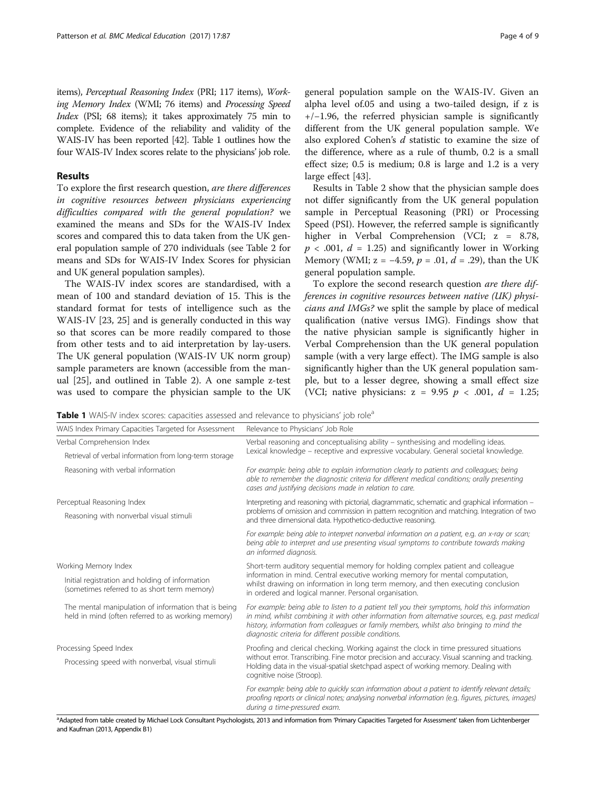items), Perceptual Reasoning Index (PRI; 117 items), Working Memory Index (WMI; 76 items) and Processing Speed Index (PSI; 68 items); it takes approximately 75 min to complete. Evidence of the reliability and validity of the WAIS-IV has been reported [[42\]](#page-8-0). Table 1 outlines how the four WAIS-IV Index scores relate to the physicians' job role.

## Results

To explore the first research question, are there differences in cognitive resources between physicians experiencing difficulties compared with the general population? we examined the means and SDs for the WAIS-IV Index scores and compared this to data taken from the UK general population sample of 270 individuals (see Table [2](#page-4-0) for means and SDs for WAIS-IV Index Scores for physician and UK general population samples).

The WAIS-IV index scores are standardised, with a mean of 100 and standard deviation of 15. This is the standard format for tests of intelligence such as the WAIS-IV [[23, 25\]](#page-8-0) and is generally conducted in this way so that scores can be more readily compared to those from other tests and to aid interpretation by lay-users. The UK general population (WAIS-IV UK norm group) sample parameters are known (accessible from the manual [\[25](#page-8-0)], and outlined in Table [2\)](#page-4-0). A one sample z-test was used to compare the physician sample to the UK general population sample on the WAIS-IV. Given an alpha level of.05 and using a two-tailed design, if z is +/−1.96, the referred physician sample is significantly different from the UK general population sample. We also explored Cohen's d statistic to examine the size of the difference, where as a rule of thumb, 0.2 is a small effect size; 0.5 is medium; 0.8 is large and 1.2 is a very large effect [[43](#page-8-0)].

Results in Table [2](#page-4-0) show that the physician sample does not differ significantly from the UK general population sample in Perceptual Reasoning (PRI) or Processing Speed (PSI). However, the referred sample is significantly higher in Verbal Comprehension (VCI; z = 8.78,  $p < .001$ ,  $d = 1.25$ ) and significantly lower in Working Memory (WMI;  $z = -4.59$ ,  $p = .01$ ,  $d = .29$ ), than the UK general population sample.

To explore the second research question are there differences in cognitive resources between native (UK) physicians and IMGs? we split the sample by place of medical qualification (native versus IMG). Findings show that the native physician sample is significantly higher in Verbal Comprehension than the UK general population sample (with a very large effect). The IMG sample is also significantly higher than the UK general population sample, but to a lesser degree, showing a small effect size (VCI; native physicians:  $z = 9.95$   $p < .001$ ,  $d = 1.25$ ;

Table 1 WAIS-IV index scores: capacities assessed and relevance to physicians' job role<sup>a</sup>

| WAIS Index Primary Capacities Targeted for Assessment                                                      | Relevance to Physicians' Job Role                                                                                                                                                                                                                                                                                                                      |  |  |  |  |  |  |  |  |
|------------------------------------------------------------------------------------------------------------|--------------------------------------------------------------------------------------------------------------------------------------------------------------------------------------------------------------------------------------------------------------------------------------------------------------------------------------------------------|--|--|--|--|--|--|--|--|
| Verbal Comprehension Index                                                                                 | Verbal reasoning and conceptualising ability - synthesising and modelling ideas.                                                                                                                                                                                                                                                                       |  |  |  |  |  |  |  |  |
| Retrieval of verbal information from long-term storage                                                     | Lexical knowledge - receptive and expressive vocabulary. General societal knowledge.                                                                                                                                                                                                                                                                   |  |  |  |  |  |  |  |  |
| Reasoning with verbal information                                                                          | For example: being able to explain information clearly to patients and colleagues; being<br>able to remember the diagnostic criteria for different medical conditions; orally presenting<br>cases and justifying decisions made in relation to care.                                                                                                   |  |  |  |  |  |  |  |  |
| Perceptual Reasoning Index                                                                                 | Interpreting and reasoning with pictorial, diagrammatic, schematic and graphical information -                                                                                                                                                                                                                                                         |  |  |  |  |  |  |  |  |
| Reasoning with nonverbal visual stimuli                                                                    | problems of omission and commission in pattern recognition and matching. Integration of two<br>and three dimensional data. Hypothetico-deductive reasoning.                                                                                                                                                                                            |  |  |  |  |  |  |  |  |
|                                                                                                            | For example: being able to interpret nonverbal information on a patient, e.g. an x-ray or scan;<br>being able to interpret and use presenting visual symptoms to contribute towards making<br>an informed diagnosis.                                                                                                                                   |  |  |  |  |  |  |  |  |
| Working Memory Index                                                                                       | Short-term auditory sequential memory for holding complex patient and colleague                                                                                                                                                                                                                                                                        |  |  |  |  |  |  |  |  |
| Initial registration and holding of information<br>(sometimes referred to as short term memory)            | information in mind. Central executive working memory for mental computation,<br>whilst drawing on information in long term memory, and then executing conclusion<br>in ordered and logical manner. Personal organisation.                                                                                                                             |  |  |  |  |  |  |  |  |
| The mental manipulation of information that is being<br>held in mind (often referred to as working memory) | For example: being able to listen to a patient tell you their symptoms, hold this information<br>in mind, whilst combining it with other information from alternative sources, e.g. past medical<br>history, information from colleagues or family members, whilst also bringing to mind the<br>diagnostic criteria for different possible conditions. |  |  |  |  |  |  |  |  |
| Processing Speed Index                                                                                     | Proofing and clerical checking. Working against the clock in time pressured situations                                                                                                                                                                                                                                                                 |  |  |  |  |  |  |  |  |
| Processing speed with nonverbal, visual stimuli                                                            | without error. Transcribing. Fine motor precision and accuracy. Visual scanning and tracking.<br>Holding data in the visual-spatial sketchpad aspect of working memory. Dealing with<br>cognitive noise (Stroop).                                                                                                                                      |  |  |  |  |  |  |  |  |
|                                                                                                            | For example: being able to quickly scan information about a patient to identify relevant details;<br>proofing reports or clinical notes; analysing nonverbal information (e.g. figures, pictures, images)<br>during a time-pressured exam.                                                                                                             |  |  |  |  |  |  |  |  |

a<br>Adapted from table created by Michael Lock Consultant Psychologists, 2013 and information from 'Primary Capacities Targeted for Assessment' taken from Lichtenberger and Kaufman (2013, Appendix B1)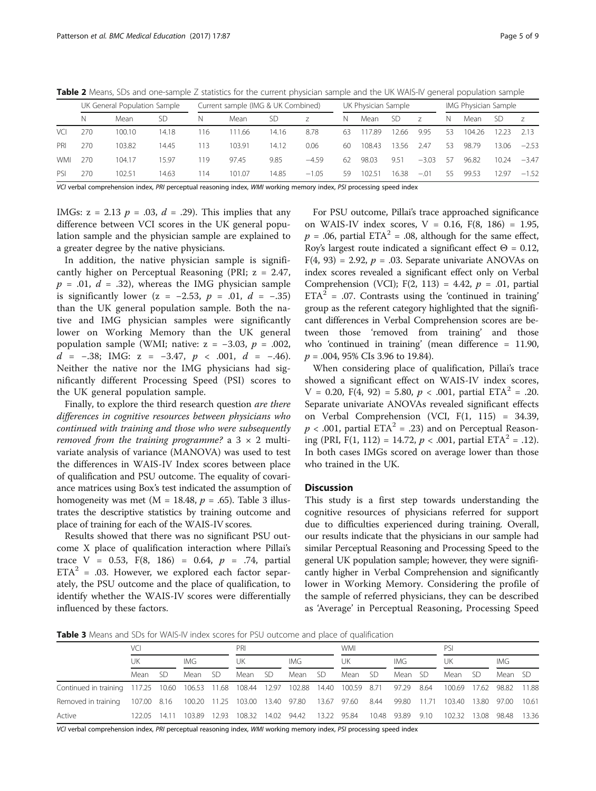<span id="page-4-0"></span>Table 2 Means, SDs and one-sample Z statistics for the current physician sample and the UK WAIS-IV general population sample

|            | UK General Population Sample |        |           | Current sample (IMG & UK Combined) |        |       |         |    | UK Physician Sample |       |                |     | IMG Physician Sample |       |                |  |
|------------|------------------------------|--------|-----------|------------------------------------|--------|-------|---------|----|---------------------|-------|----------------|-----|----------------------|-------|----------------|--|
|            | N                            | Mean   | <b>SD</b> | N                                  | Mean   | SD    | 7       | N. | Mean                | -SD   | $\overline{7}$ | N.  | Mean                 | SБ    | $\overline{7}$ |  |
| VCI        | 270                          | 100.10 | 14.18     | 16                                 | 11.66  | 14.16 | 8.78    | 63 | 7.89                | 12.66 | 9.95           | 53  | 104.26               | 1223  | 2.13           |  |
| PRI        | 270                          | 103.82 | 14.45     | 13                                 | 103.91 | 14.12 | 0.06    | 60 | 108.43              | 13.56 | 2.47           | 53. | 98.79                | 1306  | $-2.53$        |  |
| <b>WMI</b> | 270                          | 104.17 | 15.97     | 19                                 | 97.45  | 9.85  | $-4.59$ | 62 | 98.03               | 9.51  | $-3.03$        | -57 | 96.82                | 10.24 | $-347$         |  |
| PSI        | 270                          | 102.51 | 14.63     | 14                                 | 101.07 | 14.85 | $-1.05$ | 59 | 102.51              | 16.38 | $-.01$         | 55  | 99.53                | 12.97 | $-1.52$        |  |

VCI verbal comprehension index, PRI perceptual reasoning index, WMI working memory index, PSI processing speed index

IMGs:  $z = 2.13$   $p = .03$ ,  $d = .29$ ). This implies that any difference between VCI scores in the UK general population sample and the physician sample are explained to a greater degree by the native physicians.

In addition, the native physician sample is significantly higher on Perceptual Reasoning (PRI; z = 2.47,  $p = .01, d = .32$ , whereas the IMG physician sample is significantly lower (z = −2.53,  $p = .01$ ,  $d = -.35$ ) than the UK general population sample. Both the native and IMG physician samples were significantly lower on Working Memory than the UK general population sample (WMI; native:  $z = -3.03$ ,  $p = .002$ , d =  $-.38$ ; IMG: z =  $-.3.47$ ,  $p < .001$ , d =  $-.46$ ). Neither the native nor the IMG physicians had significantly different Processing Speed (PSI) scores to the UK general population sample.

Finally, to explore the third research question are there differences in cognitive resources between physicians who continued with training and those who were subsequently removed from the training programme? a  $3 \times 2$  multivariate analysis of variance (MANOVA) was used to test the differences in WAIS-IV Index scores between place of qualification and PSU outcome. The equality of covariance matrices using Box's test indicated the assumption of homogeneity was met  $(M = 18.48, p = .65)$ . Table 3 illustrates the descriptive statistics by training outcome and place of training for each of the WAIS-IV scores.

Results showed that there was no significant PSU outcome X place of qualification interaction where Pillai's trace  $V = 0.53$ ,  $F(8, 186) = 0.64$ ,  $p = .74$ , partial  $ETA<sup>2</sup> = .03$ . However, we explored each factor separately, the PSU outcome and the place of qualification, to identify whether the WAIS-IV scores were differentially influenced by these factors.

For PSU outcome, Pillai's trace approached significance on WAIS-IV index scores,  $V = 0.16$ ,  $F(8, 186) = 1.95$ ,  $p = .06$ , partial ETA<sup>2</sup> = .08, although for the same effect, Roy's largest route indicated a significant effect  $\Theta = 0.12$ ,  $F(4, 93) = 2.92$ ,  $p = .03$ . Separate univariate ANOVAs on index scores revealed a significant effect only on Verbal Comprehension (VCI);  $F(2, 113) = 4.42$ ,  $p = .01$ , partial  $ETA<sup>2</sup> = .07$ . Contrasts using the 'continued in training' group as the referent category highlighted that the significant differences in Verbal Comprehension scores are between those 'removed from training' and those who 'continued in training' (mean difference = 11.90,  $p = .004$ , 95% CIs 3.96 to 19.84).

When considering place of qualification, Pillai's trace showed a significant effect on WAIS-IV index scores,  $V = 0.20$ ,  $F(4, 92) = 5.80$ ,  $p < .001$ , partial  $ETA<sup>2</sup> = .20$ . Separate univariate ANOVAs revealed significant effects on Verbal Comprehension (VCI, F(1, 115) = 34.39,  $p < .001$ , partial ETA<sup>2</sup> = .23) and on Perceptual Reasoning (PRI, F(1, 112) = 14.72,  $p < .001$ , partial ETA<sup>2</sup> = .12). In both cases IMGs scored on average lower than those who trained in the UK.

#### **Discussion**

This study is a first step towards understanding the cognitive resources of physicians referred for support due to difficulties experienced during training. Overall, our results indicate that the physicians in our sample had similar Perceptual Reasoning and Processing Speed to the general UK population sample; however, they were significantly higher in Verbal Comprehension and significantly lower in Working Memory. Considering the profile of the sample of referred physicians, they can be described as 'Average' in Perceptual Reasoning, Processing Speed

**Table 3** Means and SDs for WAIS-IV index scores for PSU outcome and place of qualification

|                                                                                       | VCI    |       |        |       | PRI    |      |             |             | WMI         |             |            |       | PSI                |      |         |       |
|---------------------------------------------------------------------------------------|--------|-------|--------|-------|--------|------|-------------|-------------|-------------|-------------|------------|-------|--------------------|------|---------|-------|
|                                                                                       | UΚ     |       | IMG.   |       | UΚ     |      | IMG         |             | lΚ          |             | IMG.       |       | UK                 |      | IMG.    |       |
|                                                                                       | Mean   | -SD.  | Mean   | -SD   | Mean   | - SD | Mean SD     |             | Mean SD     |             | Mean SD    |       | Mean               | - SD | Mean SD |       |
| Continued in training 117.25 10.60 106.53 11.68 108.44 12.97 102.88 14.40 100.59 8.71 |        |       |        |       |        |      |             |             |             |             | 97.29 8.64 |       | 100.69 17.62 98.82 |      |         | 11.88 |
| Removed in training 107.00 8.16 100.20 11.25 103.00 13.40 97.80                       |        |       |        |       |        |      |             |             | 13.67 97.60 | 8.44        | 99.80      | 11.71 | 103.40 13.80 97.00 |      |         | 10.61 |
| Active                                                                                | 122.05 | 14 11 | 103.89 | 12.93 | 108.32 |      | 14.02 94.42 | 13.22 95.84 |             | 10.48 93.89 |            | 9.10  | 102.32 13.08       |      | 98.48   | 13.36 |

VCI verbal comprehension index, PRI perceptual reasoning index, WMI working memory index, PSI processing speed index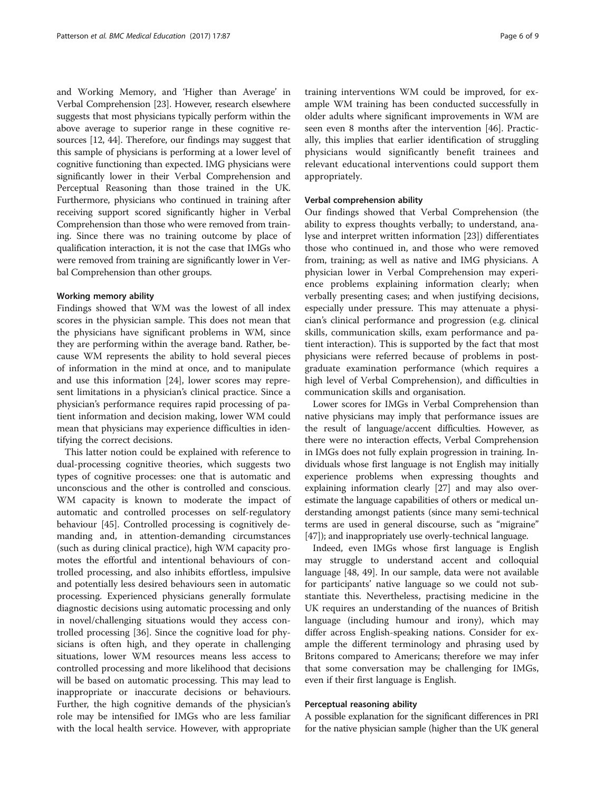and Working Memory, and 'Higher than Average' in Verbal Comprehension [[23](#page-8-0)]. However, research elsewhere suggests that most physicians typically perform within the above average to superior range in these cognitive resources [[12](#page-7-0), [44](#page-8-0)]. Therefore, our findings may suggest that this sample of physicians is performing at a lower level of cognitive functioning than expected. IMG physicians were significantly lower in their Verbal Comprehension and Perceptual Reasoning than those trained in the UK. Furthermore, physicians who continued in training after receiving support scored significantly higher in Verbal Comprehension than those who were removed from training. Since there was no training outcome by place of qualification interaction, it is not the case that IMGs who were removed from training are significantly lower in Verbal Comprehension than other groups.

#### Working memory ability

Findings showed that WM was the lowest of all index scores in the physician sample. This does not mean that the physicians have significant problems in WM, since they are performing within the average band. Rather, because WM represents the ability to hold several pieces of information in the mind at once, and to manipulate and use this information [[24\]](#page-8-0), lower scores may represent limitations in a physician's clinical practice. Since a physician's performance requires rapid processing of patient information and decision making, lower WM could mean that physicians may experience difficulties in identifying the correct decisions.

This latter notion could be explained with reference to dual-processing cognitive theories, which suggests two types of cognitive processes: one that is automatic and unconscious and the other is controlled and conscious. WM capacity is known to moderate the impact of automatic and controlled processes on self-regulatory behaviour [\[45](#page-8-0)]. Controlled processing is cognitively demanding and, in attention-demanding circumstances (such as during clinical practice), high WM capacity promotes the effortful and intentional behaviours of controlled processing, and also inhibits effortless, impulsive and potentially less desired behaviours seen in automatic processing. Experienced physicians generally formulate diagnostic decisions using automatic processing and only in novel/challenging situations would they access controlled processing [\[36](#page-8-0)]. Since the cognitive load for physicians is often high, and they operate in challenging situations, lower WM resources means less access to controlled processing and more likelihood that decisions will be based on automatic processing. This may lead to inappropriate or inaccurate decisions or behaviours. Further, the high cognitive demands of the physician's role may be intensified for IMGs who are less familiar with the local health service. However, with appropriate

training interventions WM could be improved, for example WM training has been conducted successfully in older adults where significant improvements in WM are seen even 8 months after the intervention [\[46\]](#page-8-0). Practically, this implies that earlier identification of struggling physicians would significantly benefit trainees and relevant educational interventions could support them appropriately.

## Verbal comprehension ability

Our findings showed that Verbal Comprehension (the ability to express thoughts verbally; to understand, analyse and interpret written information [[23](#page-8-0)]) differentiates those who continued in, and those who were removed from, training; as well as native and IMG physicians. A physician lower in Verbal Comprehension may experience problems explaining information clearly; when verbally presenting cases; and when justifying decisions, especially under pressure. This may attenuate a physician's clinical performance and progression (e.g. clinical skills, communication skills, exam performance and patient interaction). This is supported by the fact that most physicians were referred because of problems in postgraduate examination performance (which requires a high level of Verbal Comprehension), and difficulties in communication skills and organisation.

Lower scores for IMGs in Verbal Comprehension than native physicians may imply that performance issues are the result of language/accent difficulties. However, as there were no interaction effects, Verbal Comprehension in IMGs does not fully explain progression in training. Individuals whose first language is not English may initially experience problems when expressing thoughts and explaining information clearly [[27](#page-8-0)] and may also overestimate the language capabilities of others or medical understanding amongst patients (since many semi-technical terms are used in general discourse, such as "migraine" [[47](#page-8-0)]); and inappropriately use overly-technical language.

Indeed, even IMGs whose first language is English may struggle to understand accent and colloquial language [[48, 49](#page-8-0)]. In our sample, data were not available for participants' native language so we could not substantiate this. Nevertheless, practising medicine in the UK requires an understanding of the nuances of British language (including humour and irony), which may differ across English-speaking nations. Consider for example the different terminology and phrasing used by Britons compared to Americans; therefore we may infer that some conversation may be challenging for IMGs, even if their first language is English.

#### Perceptual reasoning ability

A possible explanation for the significant differences in PRI for the native physician sample (higher than the UK general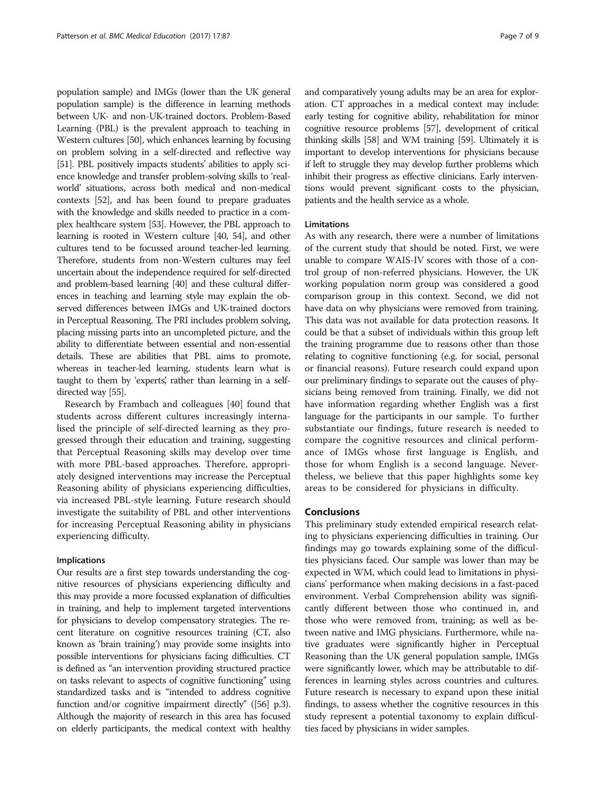population sample) and IMGs (lower than the UK general population sample) is the difference in learning methods between UK- and non-UK-trained doctors. Problem-Based Learning (PBL) is the prevalent approach to teaching in Western cultures [[50](#page-8-0)], which enhances learning by focusing on problem solving in a self-directed and reflective way [[51](#page-8-0)]. PBL positively impacts students' abilities to apply science knowledge and transfer problem-solving skills to 'realworld' situations, across both medical and non-medical contexts [\[52\]](#page-8-0), and has been found to prepare graduates with the knowledge and skills needed to practice in a complex healthcare system [[53](#page-8-0)]. However, the PBL approach to learning is rooted in Western culture [[40](#page-8-0), [54\]](#page-8-0), and other cultures tend to be focussed around teacher-led learning. Therefore, students from non-Western cultures may feel uncertain about the independence required for self-directed and problem-based learning [\[40\]](#page-8-0) and these cultural differences in teaching and learning style may explain the observed differences between IMGs and UK-trained doctors in Perceptual Reasoning. The PRI includes problem solving, placing missing parts into an uncompleted picture, and the ability to differentiate between essential and non-essential details. These are abilities that PBL aims to promote, whereas in teacher-led learning, students learn what is taught to them by 'experts', rather than learning in a selfdirected way [[55](#page-8-0)].

Research by Frambach and colleagues [[40\]](#page-8-0) found that students across different cultures increasingly internalised the principle of self-directed learning as they progressed through their education and training, suggesting that Perceptual Reasoning skills may develop over time with more PBL-based approaches. Therefore, appropriately designed interventions may increase the Perceptual Reasoning ability of physicians experiencing difficulties, via increased PBL-style learning. Future research should investigate the suitability of PBL and other interventions for increasing Perceptual Reasoning ability in physicians experiencing difficulty.

## Implications

Our results are a first step towards understanding the cognitive resources of physicians experiencing difficulty and this may provide a more focussed explanation of difficulties in training, and help to implement targeted interventions for physicians to develop compensatory strategies. The recent literature on cognitive resources training (CT, also known as 'brain training') may provide some insights into possible interventions for physicians facing difficulties. CT is defined as "an intervention providing structured practice on tasks relevant to aspects of cognitive functioning" using standardized tasks and is "intended to address cognitive function and/or cognitive impairment directly" ([\[56](#page-8-0)] p.3). Although the majority of research in this area has focused on elderly participants, the medical context with healthy and comparatively young adults may be an area for exploration. CT approaches in a medical context may include: early testing for cognitive ability, rehabilitation for minor cognitive resource problems [\[57\]](#page-8-0), development of critical thinking skills [[58](#page-8-0)] and WM training [[59](#page-8-0)]. Ultimately it is important to develop interventions for physicians because if left to struggle they may develop further problems which inhibit their progress as effective clinicians. Early interventions would prevent significant costs to the physician, patients and the health service as a whole.

## Limitations

As with any research, there were a number of limitations of the current study that should be noted. First, we were unable to compare WAIS-IV scores with those of a control group of non-referred physicians. However, the UK working population norm group was considered a good comparison group in this context. Second, we did not have data on why physicians were removed from training. This data was not available for data protection reasons. It could be that a subset of individuals within this group left the training programme due to reasons other than those relating to cognitive functioning (e.g. for social, personal or financial reasons). Future research could expand upon our preliminary findings to separate out the causes of physicians being removed from training. Finally, we did not have information regarding whether English was a first language for the participants in our sample. To further substantiate our findings, future research is needed to compare the cognitive resources and clinical performance of IMGs whose first language is English, and those for whom English is a second language. Nevertheless, we believe that this paper highlights some key areas to be considered for physicians in difficulty.

## Conclusions

This preliminary study extended empirical research relating to physicians experiencing difficulties in training. Our findings may go towards explaining some of the difficulties physicians faced. Our sample was lower than may be expected in WM, which could lead to limitations in physicians' performance when making decisions in a fast-paced environment. Verbal Comprehension ability was significantly different between those who continued in, and those who were removed from, training; as well as between native and IMG physicians. Furthermore, while native graduates were significantly higher in Perceptual Reasoning than the UK general population sample, IMGs were significantly lower, which may be attributable to differences in learning styles across countries and cultures. Future research is necessary to expand upon these initial findings, to assess whether the cognitive resources in this study represent a potential taxonomy to explain difficulties faced by physicians in wider samples.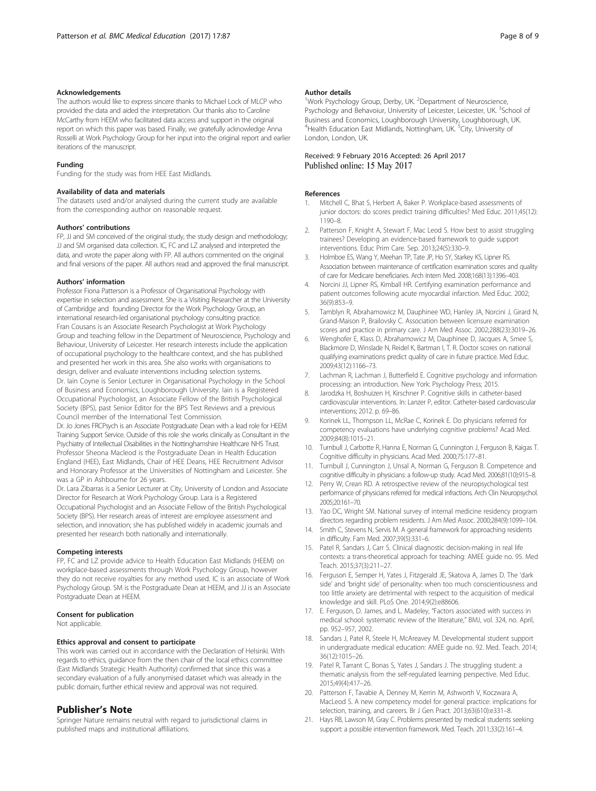#### <span id="page-7-0"></span>Acknowledgements

The authors would like to express sincere thanks to Michael Lock of MLCP who provided the data and aided the interpretation. Our thanks also to Caroline McCarthy from HEEM who facilitated data access and support in the original report on which this paper was based. Finally, we gratefully acknowledge Anna Rosselli at Work Psychology Group for her input into the original report and earlier iterations of the manuscript.

#### Funding

Funding for the study was from HEE East Midlands.

#### Availability of data and materials

The datasets used and/or analysed during the current study are available from the corresponding author on reasonable request.

#### Authors' contributions

FP, JJ and SM conceived of the original study, the study design and methodology; JJ and SM organised data collection. IC, FC and LZ analysed and interpreted the data, and wrote the paper along with FP. All authors commented on the original and final versions of the paper. All authors read and approved the final manuscript.

#### Authors' information

Professor Fiona Patterson is a Professor of Organisational Psychology with expertise in selection and assessment. She is a Visiting Researcher at the University of Cambridge and founding Director for the Work Psychology Group, an international research-led organisational psychology consulting practice. Fran Cousans is an Associate Research Psychologist at Work Psychology Group and teaching fellow in the Department of Neuroscience, Psychology and Behaviour, University of Leicester. Her research interests include the application of occupational psychology to the healthcare context, and she has published and presented her work in this area. She also works with organisations to design, deliver and evaluate interventions including selection systems. Dr. Iain Coyne is Senior Lecturer in Organisational Psychology in the School of Business and Economics, Loughborough University. Iain is a Registered Occupational Psychologist, an Associate Fellow of the British Psychological Society (BPS), past Senior Editor for the BPS Test Reviews and a previous Council member of the International Test Commission.

Dr. Jo Jones FRCPsych is an Associate Postgraduate Dean with a lead role for HEEM Training Support Service. Outside of this role she works clinically as Consultant in the Psychiatry of Intellectual Disabilities in the Nottinghamshire Healthcare NHS Trust. Professor Sheona Macleod is the Postgraduate Dean in Health Education England (HEE), East Midlands, Chair of HEE Deans, HEE Recruitment Advisor and Honorary Professor at the Universities of Nottingham and Leicester. She was a GP in Ashbourne for 26 years.

Dr. Lara Zibarras is a Senior Lecturer at City, University of London and Associate Director for Research at Work Psychology Group. Lara is a Registered Occupational Psychologist and an Associate Fellow of the British Psychological Society (BPS). Her research areas of interest are employee assessment and selection, and innovation; she has published widely in academic journals and presented her research both nationally and internationally.

#### Competing interests

FP, FC and LZ provide advice to Health Education East Midlands (HEEM) on workplace-based assessments through Work Psychology Group, however they do not receive royalties for any method used. IC is an associate of Work Psychology Group. SM is the Postgraduate Dean at HEEM, and JJ is an Associate Postgraduate Dean at HEEM.

#### Consent for publication

Not applicable.

#### Ethics approval and consent to participate

This work was carried out in accordance with the Declaration of Helsinki. With regards to ethics, guidance from the then chair of the local ethics committee (East Midlands Strategic Health Authority) confirmed that since this was a secondary evaluation of a fully anonymised dataset which was already in the public domain, further ethical review and approval was not required.

#### Publisher's Note

Springer Nature remains neutral with regard to jurisdictional claims in published maps and institutional affiliations.

#### Author details

<sup>1</sup>Work Psychology Group, Derby, UK. <sup>2</sup>Department of Neuroscience, Psychology and Behavoiur, University of Leicester, Leicester, UK. <sup>3</sup>School of Business and Economics, Loughborough University, Loughborough, UK. <sup>4</sup>Health Education East Midlands, Nottingham, UK.<sup>5</sup>City, University of London, London, UK.

## Received: 9 February 2016 Accepted: 26 April 2017 Published online: 15 May 2017

#### References

- 1. Mitchell C, Bhat S, Herbert A, Baker P. Workplace-based assessments of junior doctors: do scores predict training difficulties? Med Educ. 2011;45(12): 1190–8.
- 2. Patterson F, Knight A, Stewart F, Mac Leod S, How best to assist struggling trainees? Developing an evidence-based framework to guide support interventions. Educ Prim Care. Sep. 2013;24(5):330–9.
- Holmboe ES, Wang Y, Meehan TP, Tate JP, Ho SY, Starkey KS, Lipner RS. Association between maintenance of certification examination scores and quality of care for Medicare beneficiaries. Arch Intern Med. 2008;168(13):1396–403.
- 4. Norcini JJ, Lipner RS, Kimball HR. Certifying examination performance and patient outcomes following acute myocardial infarction. Med Educ. 2002; 36(9):853–9.
- 5. Tamblyn R, Abrahamowicz M, Dauphinee WD, Hanley JA, Norcini J, Girard N, Grand-Maison P, Brailovsky C. Association between licensure examination scores and practice in primary care. J Am Med Assoc. 2002;288(23):3019–26.
- 6. Wenghofer E, Klass D, Abrahamowicz M, Dauphinee D, Jacques A, Smee S, Blackmore D, Winslade N, Reidel K, Bartman I, T. R. Doctor scores on national qualifying examinations predict quality of care in future practice. Med Educ. 2009;43(12):1166–73.
- 7. Lachman R, Lachman J, Butterfield E. Cognitive psychology and information processing: an introduction. New York: Psychology Press; 2015.
- 8. Jarodzka H, Boshuizen H, Kirschner P. Cognitive skills in catheter-based cardiovascular interventions. In: Lanzer P, editor. Catheter-based cardiovascular interventions; 2012. p. 69–86.
- 9. Korinek LL, Thompson LL, McRae C, Korinek E. Do physicians referred for competency evaluations have underlying cognitive problems? Acad Med. 2009;84(8):1015–21.
- 10. Turnbull J, Carbotte R, Hanna E, Norman G, Cunnington J, Ferguson B, Kaigas T. Cognitive difficulty in physicians. Acad Med. 2000;75:177–81.
- 11. Turnbull J, Cunnington J, Unsal A, Norman G, Ferguson B. Competence and cognitive difficulty in physicians: a follow-up study. Acad Med. 2006;81(10):915–8.
- 12. Perry W, Crean RD. A retrospective review of the neuropsychological test performance of physicians referred for medical infractions. Arch Clin Neuropsychol. 2005;20:161–70.
- 13. Yao DC, Wright SM. National survey of internal medicine residency program directors regarding problem residents. J Am Med Assoc. 2000;284(9):1099–104.
- 14. Smith C, Stevens N, Servis M. A general framework for approaching residents in difficulty. Fam Med. 2007;39(5):331–6.
- 15. Patel R, Sandars J, Carr S. Clinical diagnostic decision-making in real life contexts: a trans-theoretical approach for teaching: AMEE guide no. 95. Med Teach. 2015;37(3):211–27.
- 16. Ferguson E, Semper H, Yates J, Fitzgerald JE, Skatova A, James D. The 'dark side' and 'bright side' of personality: when too much conscientiousness and too little anxiety are detrimental with respect to the acquisition of medical knowledge and skill. PLoS One. 2014;9(2):e88606.
- 17. E. Ferguson, D. James, and L. Madeley, "Factors associated with success in medical school: systematic review of the literature," BMJ, vol. 324, no. April, pp. 952–957, 2002.
- 18. Sandars J, Patel R, Steele H, McAreavey M. Developmental student support in undergraduate medical education: AMEE guide no. 92. Med. Teach. 2014; 36(12):1015–26.
- 19. Patel R, Tarrant C, Bonas S, Yates J, Sandars J. The struggling student: a thematic analysis from the self-regulated learning perspective. Med Educ. 2015;49(4):417–26.
- 20. Patterson F, Tavabie A, Denney M, Kerrin M, Ashworth V, Koczwara A, MacLeod S. A new competency model for general practice: implications for selection, training, and careers. Br J Gen Pract. 2013;63(610):e331–8.
- 21. Hays RB, Lawson M, Gray C. Problems presented by medical students seeking support: a possible intervention framework. Med. Teach. 2011;33(2):161–4.